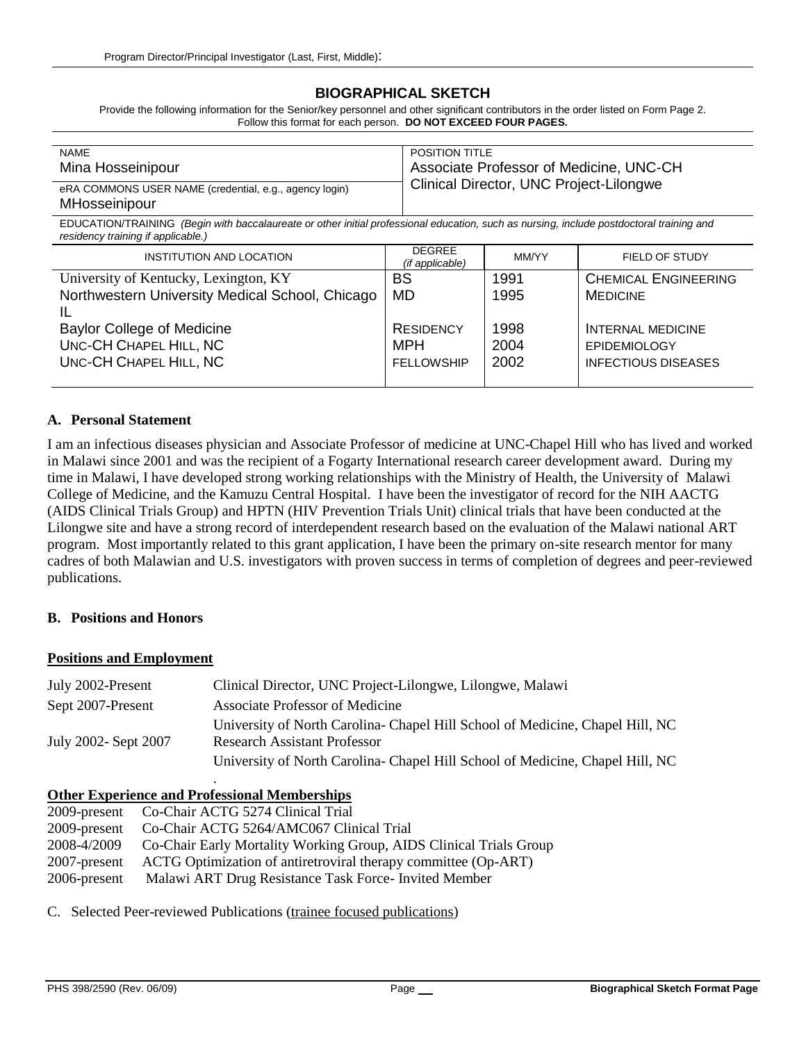# **BIOGRAPHICAL SKETCH**

Provide the following information for the Senior/key personnel and other significant contributors in the order listed on Form Page 2. Follow this format for each person. **DO NOT EXCEED FOUR PAGES.**

| <b>NAME</b>                                                             | <b>POSITION TITLE</b>                   |
|-------------------------------------------------------------------------|-----------------------------------------|
| Mina Hosseinipour                                                       | Associate Professor of Medicine, UNC-CH |
| eRA COMMONS USER NAME (credential, e.g., agency login)<br>MHosseinipour | Clinical Director, UNC Project-Lilongwe |

EDUCATION/TRAINING *(Begin with baccalaureate or other initial professional education, such as nursing, include postdoctoral training and residency training if applicable.)*

| <b>DEGREE</b><br>INSTITUTION AND LOCATION<br>(if applicable) |                   | MM/YY | FIELD OF STUDY              |  |
|--------------------------------------------------------------|-------------------|-------|-----------------------------|--|
| University of Kentucky, Lexington, KY                        | BS                | 1991  | <b>CHEMICAL ENGINEERING</b> |  |
| Northwestern University Medical School, Chicago              | <b>MD</b>         | 1995  | <b>MEDICINE</b>             |  |
|                                                              |                   |       |                             |  |
| <b>Baylor College of Medicine</b>                            | <b>RESIDENCY</b>  | 1998  | <b>INTERNAL MEDICINE</b>    |  |
| UNC-CH CHAPEL HILL, NC                                       | MPH               | 2004  | <b>EPIDEMIOLOGY</b>         |  |
| UNC-CH CHAPEL HILL, NC                                       | <b>FELLOWSHIP</b> | 2002  | <b>INFECTIOUS DISEASES</b>  |  |
|                                                              |                   |       |                             |  |

## **A. Personal Statement**

I am an infectious diseases physician and Associate Professor of medicine at UNC-Chapel Hill who has lived and worked in Malawi since 2001 and was the recipient of a Fogarty International research career development award. During my time in Malawi, I have developed strong working relationships with the Ministry of Health, the University of Malawi College of Medicine, and the Kamuzu Central Hospital. I have been the investigator of record for the NIH AACTG (AIDS Clinical Trials Group) and HPTN (HIV Prevention Trials Unit) clinical trials that have been conducted at the Lilongwe site and have a strong record of interdependent research based on the evaluation of the Malawi national ART program. Most importantly related to this grant application, I have been the primary on-site research mentor for many cadres of both Malawian and U.S. investigators with proven success in terms of completion of degrees and peer-reviewed publications.

#### **B. Positions and Honors**

#### **Positions and Employment**

| July 2002-Present    | Clinical Director, UNC Project-Lilongwe, Lilongwe, Malawi                     |
|----------------------|-------------------------------------------------------------------------------|
| Sept 2007-Present    | Associate Professor of Medicine                                               |
|                      | University of North Carolina- Chapel Hill School of Medicine, Chapel Hill, NC |
| July 2002- Sept 2007 | <b>Research Assistant Professor</b>                                           |
|                      | University of North Carolina- Chapel Hill School of Medicine, Chapel Hill, NC |

## **Other Experience and Professional Memberships**

.

| 2009-present Co-Chair ACTG 5274 Clinical Trial                     |
|--------------------------------------------------------------------|
| Co-Chair ACTG 5264/AMC067 Clinical Trial                           |
| Co-Chair Early Mortality Working Group, AIDS Clinical Trials Group |
| ACTG Optimization of antiretroviral therapy committee (Op-ART)     |
| Malawi ART Drug Resistance Task Force- Invited Member              |
|                                                                    |

C. Selected Peer-reviewed Publications (trainee focused publications)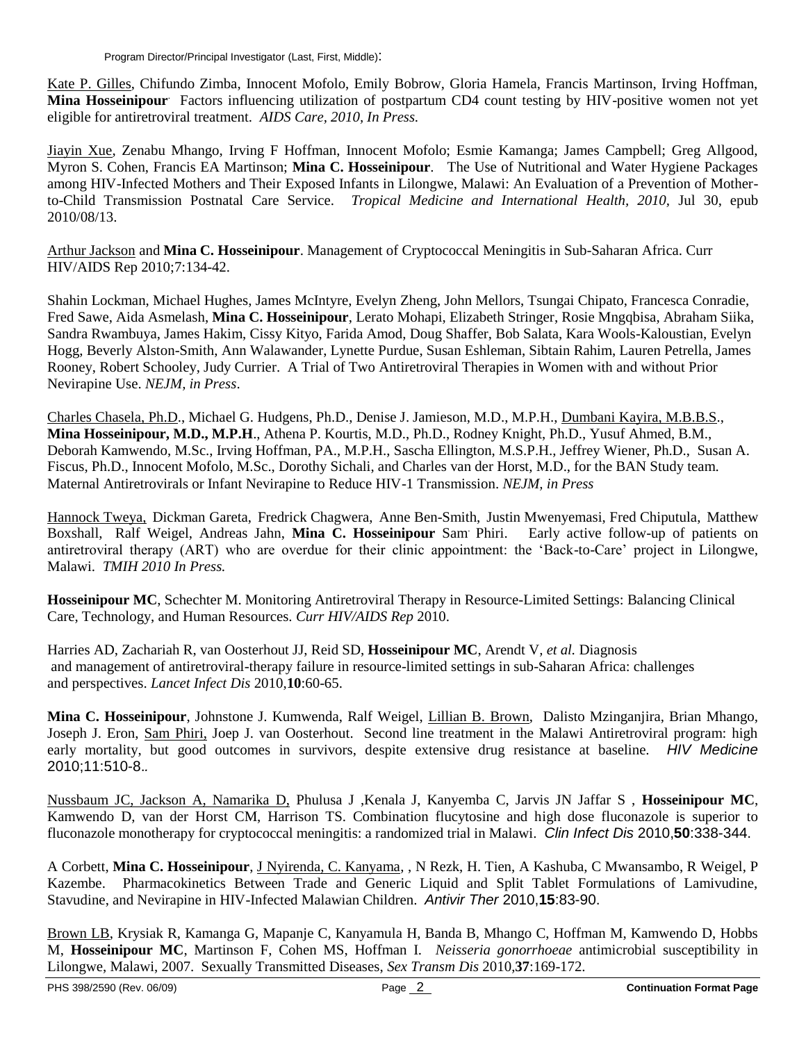Kate P. Gilles, Chifundo Zimba, Innocent Mofolo, Emily Bobrow, Gloria Hamela, Francis Martinson, Irving Hoffman, **Mina Hosseinipour**. Factors influencing utilization of postpartum CD4 count testing by HIV-positive women not yet eligible for antiretroviral treatment. *AIDS Care, 2010, In Press.*

Jiayin Xue, Zenabu Mhango, Irving F Hoffman, Innocent Mofolo; Esmie Kamanga; James Campbell; Greg Allgood, Myron S. Cohen, Francis EA Martinson; **Mina C. Hosseinipour**. The Use of Nutritional and Water Hygiene Packages among HIV-Infected Mothers and Their Exposed Infants in Lilongwe, Malawi: An Evaluation of a Prevention of Motherto-Child Transmission Postnatal Care Service. *Tropical Medicine and International Health, 2010,* Jul 30, epub 2010/08/13.

Arthur Jackson and **Mina C. Hosseinipour**. Management of Cryptococcal Meningitis in Sub-Saharan Africa. Curr HIV/AIDS Rep 2010;7:134-42.

Shahin Lockman, Michael Hughes, James McIntyre, Evelyn Zheng, John Mellors, Tsungai Chipato, Francesca Conradie, Fred Sawe, Aida Asmelash, **Mina C. Hosseinipour**, Lerato Mohapi, Elizabeth Stringer, Rosie Mngqbisa, Abraham Siika, Sandra Rwambuya, James Hakim, Cissy Kityo, Farida Amod, Doug Shaffer, Bob Salata, Kara Wools-Kaloustian, Evelyn Hogg, Beverly Alston-Smith, Ann Walawander, Lynette Purdue, Susan Eshleman, Sibtain Rahim, Lauren Petrella, James Rooney, Robert Schooley, Judy Currier. A Trial of Two Antiretroviral Therapies in Women with and without Prior Nevirapine Use. *NEJM, in Press*.

Charles Chasela, Ph.D., Michael G. Hudgens, Ph.D., Denise J. Jamieson, M.D., M.P.H., Dumbani Kayira, M.B.B.S., **Mina Hosseinipour, M.D., M.P.H**., Athena P. Kourtis, M.D., Ph.D., Rodney Knight, Ph.D., Yusuf Ahmed, B.M., Deborah Kamwendo, M.Sc., Irving Hoffman, PA., M.P.H., Sascha Ellington, M.S.P.H., Jeffrey Wiener, Ph.D., Susan A. Fiscus, Ph.D., Innocent Mofolo, M.Sc., Dorothy Sichali, and Charles van der Horst, M.D., for the BAN Study team. Maternal Antiretrovirals or Infant Nevirapine to Reduce HIV-1 Transmission. *NEJM, in Press*

Hannock Tweya, Dickman Gareta, Fredrick Chagwera, Anne Ben-Smith, Justin Mwenyemasi, Fred Chiputula, Matthew Boxshall, Ralf Weigel, Andreas Jahn, **Mina C. Hosseinipour** Sam. Phiri. Early active follow-up of patients on antiretroviral therapy (ART) who are overdue for their clinic appointment: the 'Back-to-Care' project in Lilongwe, Malawi. *TMIH 2010 In Press.*

**Hosseinipour MC**, Schechter M. Monitoring Antiretroviral Therapy in Resource-Limited Settings: Balancing Clinical Care, Technology, and Human Resources. *Curr HIV/AIDS Rep* 2010.

Harries AD, Zachariah R, van Oosterhout JJ, Reid SD, **Hosseinipour MC**, Arendt V*, et al.* Diagnosis and management of antiretroviral-therapy failure in resource-limited settings in sub-Saharan Africa: challenges and perspectives. *Lancet Infect Dis* 2010,**10**:60-65.

**Mina C. Hosseinipour**, Johnstone J. Kumwenda, Ralf Weigel, Lillian B. Brown, Dalisto Mzinganjira, Brian Mhango, Joseph J. Eron, Sam Phiri, Joep J. van Oosterhout. Second line treatment in the Malawi Antiretroviral program: high early mortality, but good outcomes in survivors, despite extensive drug resistance at baseline. *HIV Medicine*  2010;11:510-8.*.*

Nussbaum JC, Jackson A, Namarika D, Phulusa J ,Kenala J, Kanyemba C, Jarvis JN Jaffar S , **Hosseinipour MC**, Kamwendo D, van der Horst CM, Harrison TS. Combination flucytosine and high dose fluconazole is superior to fluconazole monotherapy for cryptococcal meningitis: a randomized trial in Malawi. *Clin Infect Dis* 2010,**50**:338-344.

A Corbett, **Mina C. Hosseinipour**, J Nyirenda, C. Kanyama, , N Rezk, H. Tien, A Kashuba, C Mwansambo, R Weigel, P Kazembe. Pharmacokinetics Between Trade and Generic Liquid and Split Tablet Formulations of Lamivudine, Stavudine, and Nevirapine in HIV-Infected Malawian Children. *Antivir Ther* 2010,**15**:83-90.

Brown LB, Krysiak R, Kamanga G, Mapanje C, Kanyamula H, Banda B, Mhango C, Hoffman M, Kamwendo D, Hobbs M, **Hosseinipour MC**, Martinson F, Cohen MS, Hoffman I. *Neisseria gonorrhoeae* antimicrobial susceptibility in Lilongwe, Malawi, 2007. Sexually Transmitted Diseases, *Sex Transm Dis* 2010,**37**:169-172.